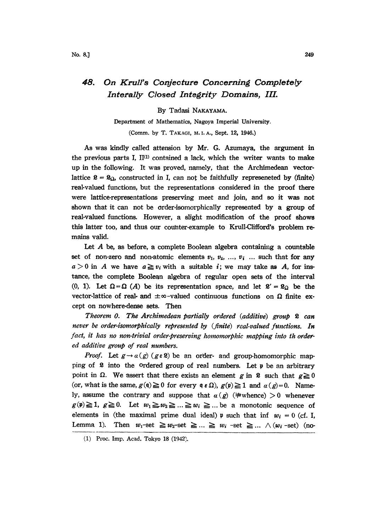## 48. On Krull's Conjecture Concerning Completely Interally Closed Integrity Domains, III.

## By Tadasi NAKAYAMA.

Department of Mathematics, Nagoya Imperial University. (Comm. by T. TAKAGI, M. I. A., Sept. 12, 1946.)

As was kindly called attension by Mr. G. Azumaya, the argument in the previous parts I,  $II^{(1)}$  contained a lack, which the writer wants to make up in the following. It was proved, namely, that the Archimedean vectorlattice  $\mathfrak{L} = \mathfrak{L}_{\Omega}$ , constructed in I, can not be faithfully represeneted by (finite) real-valued functions, but the representations considered in the proof there were lattice-representations preserving meet and join, and so it was not shown that it can not be order-isomorphically represented by a group of real-valued functions. However, a slight modification of the proof shows this latter too, and thus our counter-example to Krull-Clifford's problem remains valid.

Let  $A$  be, as before, a complete Boolean algebra containing a countable set of non-zero and non-atomic elements  $v_1, v_2, ..., v_i$  ... such that for any  $a > 0$  in A we have  $a \ge v_i$  with a suitable *i*; we may take as A, for instance, the complete Boolean algebra of regular open sets of the interval (0, 1). Let  $\Omega = \Omega$  (A) be its representation space, and let  $\mathcal{L}' = \mathcal{L}_{\Omega}$  be the vector-lattice of real- and  $\pm \infty$ -valued continuous functio vector-lattice of real- and  $\pm \infty$ -valued continuous functions on  $\Omega$  finite except on nowhere-dense sets. Then

Theorem 0. The Archimedean partially ordered (additive) group  $\mathfrak k$  can never be order-isomorphically represented by (finite) real-valued functions. In fact, it has no non-trivial order-preserving homomorphic mapping into th ordered additive group of real numbers.

*Proof.* Let  $g \rightarrow a(g)$  ( $g \in \mathcal{L}$ ) be an order- and group-homomorphic mapping of  $\hat{x}$  into the ordered group of real numbers. Let  $\hat{p}$  be an arbitrary point in  $\Omega$ . We assert that there exists an element g in **8** such that  $g \ge 0$  (or, what is the same,  $g(\mathfrak{q}) \ge 0$  for every  $\mathfrak{q} \in \Omega$ ),  $g(\mathfrak{p}) \ge 1$  and  $\alpha(g)=0$ . Namely, assume the contrary and suppose that  $\alpha(g)$  ( $\neq$ whence)  $>0$  whenever  $g(\mathbf{v}) \geq 1$ ,  $g \geq 0$ . Let  $w_1 \geq w_2 \geq ... \geq w_i \geq ...$  be a monotonic sequence of elements in (the maximal prime dual ideal)  $\mathfrak p$  such that inf  $w_i = 0$  (cf. I, EXAMPLE 2013 EXAMPLE 2014 EXAMPLE 2014 INDICATOR SEQUENCE OF<br>elements in (the maximal prime dual ideal)  $\psi$  such that inf  $w_i = 0$  (cf. I,<br>Lemma 1). Then  $w_1$ -set  $\geq w_2$ -set  $\geq ... \geq w_i$ -set  $\geq ... \wedge (w_i$ -set) (no-

<sup>(1)</sup> Proc. Imp. Acad. Tokyo 18 (1942).